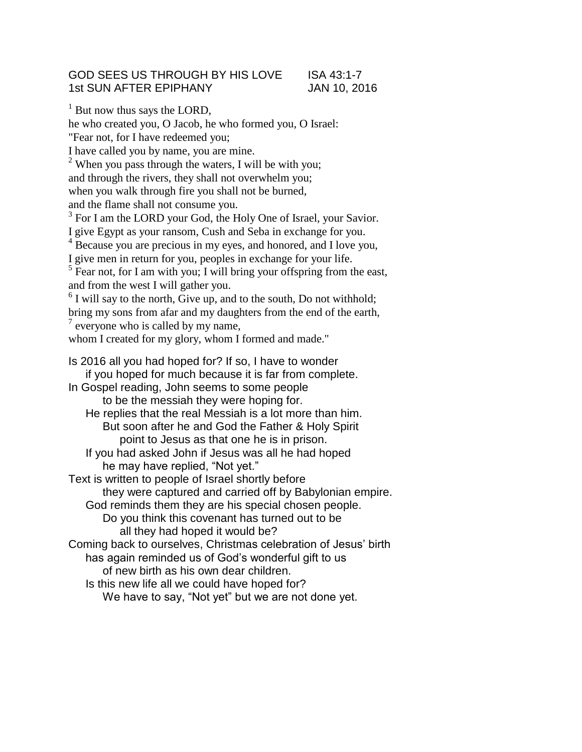## GOD SEES US THROUGH BY HIS LOVE ISA 43:1-7 1st SUN AFTER EPIPHANY JAN 10, 2016

 $<sup>1</sup>$  But now thus says the LORD,</sup>

he who created you, O Jacob, he who formed you, O Israel: "Fear not, for I have redeemed you; I have called you by name, you are mine.  $2$  When you pass through the waters, I will be with you; and through the rivers, they shall not overwhelm you; when you walk through fire you shall not be burned, and the flame shall not consume you. <sup>3</sup> For I am the LORD your God, the Holy One of Israel, your Savior. I give Egypt as your ransom, Cush and Seba in exchange for you. <sup>4</sup> Because you are precious in my eyes, and honored, and I love you, I give men in return for you, peoples in exchange for your life.  $<sup>5</sup>$  Fear not, for I am with you; I will bring your offspring from the east,</sup> and from the west I will gather you.  $6$  I will say to the north, Give up, and to the south, Do not withhold; bring my sons from afar and my daughters from the end of the earth,  $7$  everyone who is called by my name,

whom I created for my glory, whom I formed and made."

Is 2016 all you had hoped for? If so, I have to wonder if you hoped for much because it is far from complete. In Gospel reading, John seems to some people to be the messiah they were hoping for. He replies that the real Messiah is a lot more than him. But soon after he and God the Father & Holy Spirit point to Jesus as that one he is in prison. If you had asked John if Jesus was all he had hoped he may have replied, "Not yet." Text is written to people of Israel shortly before they were captured and carried off by Babylonian empire. God reminds them they are his special chosen people. Do you think this covenant has turned out to be all they had hoped it would be? Coming back to ourselves, Christmas celebration of Jesus' birth has again reminded us of God's wonderful gift to us of new birth as his own dear children. Is this new life all we could have hoped for? We have to say, "Not yet" but we are not done yet.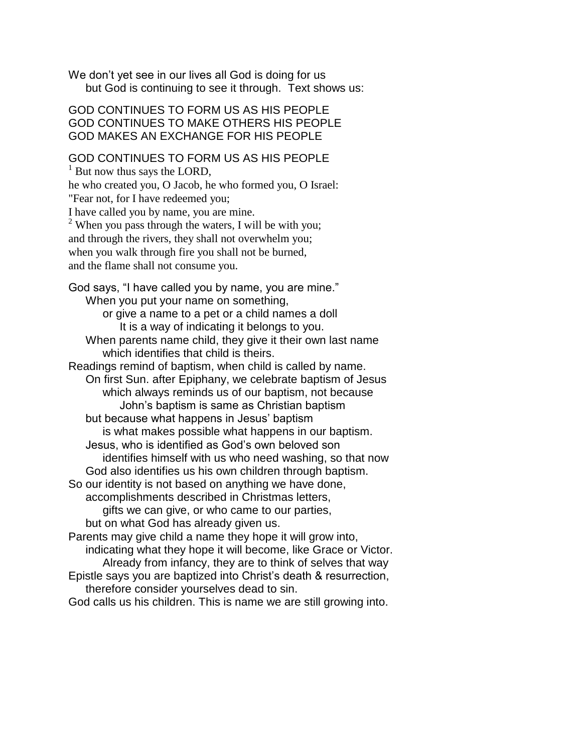We don't yet see in our lives all God is doing for us but God is continuing to see it through. Text shows us:

GOD CONTINUES TO FORM US AS HIS PEOPLE GOD CONTINUES TO MAKE OTHERS HIS PEOPLE GOD MAKES AN EXCHANGE FOR HIS PEOPLE

GOD CONTINUES TO FORM US AS HIS PEOPLE

 $<sup>1</sup>$  But now thus says the LORD,</sup>

he who created you, O Jacob, he who formed you, O Israel: "Fear not, for I have redeemed you;

I have called you by name, you are mine.

<sup>2</sup> When you pass through the waters, I will be with you; and through the rivers, they shall not overwhelm you; when you walk through fire you shall not be burned, and the flame shall not consume you.

God says, "I have called you by name, you are mine." When you put your name on something, or give a name to a pet or a child names a doll

It is a way of indicating it belongs to you. When parents name child, they give it their own last name which identifies that child is theirs.

Readings remind of baptism, when child is called by name. On first Sun. after Epiphany, we celebrate baptism of Jesus which always reminds us of our baptism, not because John's baptism is same as Christian baptism

but because what happens in Jesus' baptism

is what makes possible what happens in our baptism.

Jesus, who is identified as God's own beloved son identifies himself with us who need washing, so that now

God also identifies us his own children through baptism.

So our identity is not based on anything we have done,

accomplishments described in Christmas letters,

gifts we can give, or who came to our parties,

but on what God has already given us.

Parents may give child a name they hope it will grow into, indicating what they hope it will become, like Grace or Victor. Already from infancy, they are to think of selves that way Epistle says you are baptized into Christ's death & resurrection,

therefore consider yourselves dead to sin.

God calls us his children. This is name we are still growing into.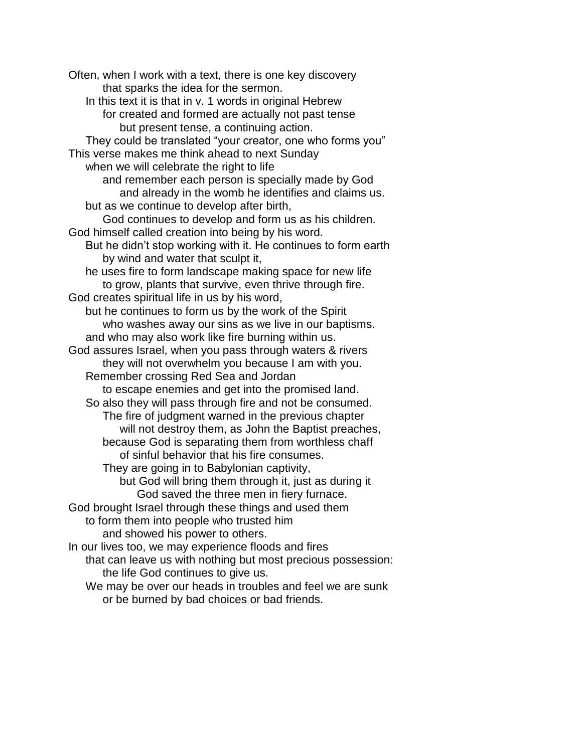Often, when I work with a text, there is one key discovery that sparks the idea for the sermon. In this text it is that in v. 1 words in original Hebrew for created and formed are actually not past tense but present tense, a continuing action. They could be translated "your creator, one who forms you" This verse makes me think ahead to next Sunday when we will celebrate the right to life and remember each person is specially made by God and already in the womb he identifies and claims us. but as we continue to develop after birth, God continues to develop and form us as his children. God himself called creation into being by his word. But he didn't stop working with it. He continues to form earth by wind and water that sculpt it, he uses fire to form landscape making space for new life to grow, plants that survive, even thrive through fire. God creates spiritual life in us by his word, but he continues to form us by the work of the Spirit who washes away our sins as we live in our baptisms. and who may also work like fire burning within us. God assures Israel, when you pass through waters & rivers they will not overwhelm you because I am with you. Remember crossing Red Sea and Jordan to escape enemies and get into the promised land. So also they will pass through fire and not be consumed. The fire of judgment warned in the previous chapter will not destroy them, as John the Baptist preaches, because God is separating them from worthless chaff of sinful behavior that his fire consumes. They are going in to Babylonian captivity, but God will bring them through it, just as during it God saved the three men in fiery furnace. God brought Israel through these things and used them to form them into people who trusted him and showed his power to others. In our lives too, we may experience floods and fires that can leave us with nothing but most precious possession: the life God continues to give us. We may be over our heads in troubles and feel we are sunk or be burned by bad choices or bad friends.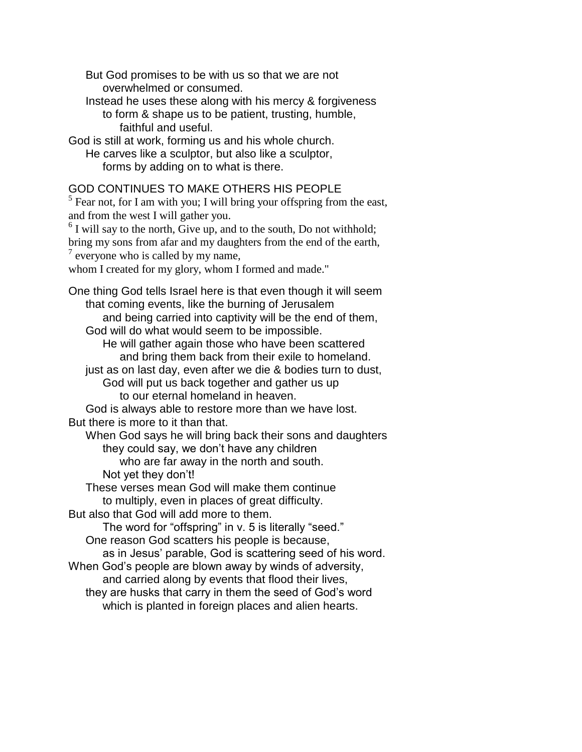But God promises to be with us so that we are not overwhelmed or consumed.

Instead he uses these along with his mercy & forgiveness to form & shape us to be patient, trusting, humble, faithful and useful.

God is still at work, forming us and his whole church.

He carves like a sculptor, but also like a sculptor, forms by adding on to what is there.

## GOD CONTINUES TO MAKE OTHERS HIS PEOPLE

 $<sup>5</sup>$  Fear not, for I am with you; I will bring your offspring from the east,</sup> and from the west I will gather you.

 $6$  I will say to the north, Give up, and to the south, Do not withhold; bring my sons from afar and my daughters from the end of the earth,  $7$  everyone who is called by my name,

whom I created for my glory, whom I formed and made."

One thing God tells Israel here is that even though it will seem that coming events, like the burning of Jerusalem and being carried into captivity will be the end of them, God will do what would seem to be impossible.

He will gather again those who have been scattered and bring them back from their exile to homeland.

just as on last day, even after we die & bodies turn to dust, God will put us back together and gather us up to our eternal homeland in heaven.

God is always able to restore more than we have lost. But there is more to it than that.

When God says he will bring back their sons and daughters they could say, we don't have any children

who are far away in the north and south.

Not yet they don't!

These verses mean God will make them continue to multiply, even in places of great difficulty.

But also that God will add more to them.

The word for "offspring" in v. 5 is literally "seed." One reason God scatters his people is because,

as in Jesus' parable, God is scattering seed of his word.

When God's people are blown away by winds of adversity, and carried along by events that flood their lives,

they are husks that carry in them the seed of God's word which is planted in foreign places and alien hearts.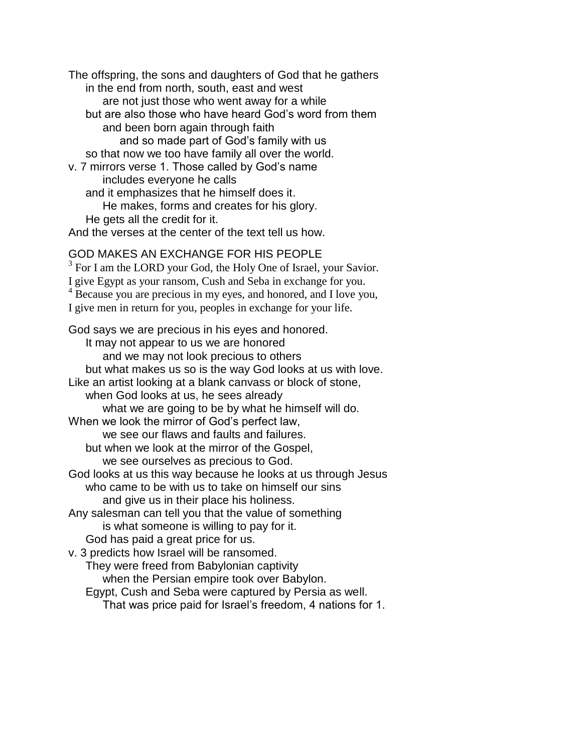The offspring, the sons and daughters of God that he gathers in the end from north, south, east and west are not just those who went away for a while but are also those who have heard God's word from them and been born again through faith and so made part of God's family with us so that now we too have family all over the world. v. 7 mirrors verse 1. Those called by God's name includes everyone he calls and it emphasizes that he himself does it. He makes, forms and creates for his glory.

He gets all the credit for it.

And the verses at the center of the text tell us how.

## GOD MAKES AN EXCHANGE FOR HIS PEOPLE

<sup>3</sup> For I am the LORD your God, the Holy One of Israel, your Savior. I give Egypt as your ransom, Cush and Seba in exchange for you. <sup>4</sup> Because you are precious in my eyes, and honored, and I love you, I give men in return for you, peoples in exchange for your life.

God says we are precious in his eyes and honored. It may not appear to us we are honored and we may not look precious to others but what makes us so is the way God looks at us with love. Like an artist looking at a blank canvass or block of stone, when God looks at us, he sees already what we are going to be by what he himself will do. When we look the mirror of God's perfect law, we see our flaws and faults and failures. but when we look at the mirror of the Gospel, we see ourselves as precious to God. God looks at us this way because he looks at us through Jesus who came to be with us to take on himself our sins and give us in their place his holiness. Any salesman can tell you that the value of something is what someone is willing to pay for it. God has paid a great price for us. v. 3 predicts how Israel will be ransomed. They were freed from Babylonian captivity when the Persian empire took over Babylon. Egypt, Cush and Seba were captured by Persia as well.

That was price paid for Israel's freedom, 4 nations for 1.